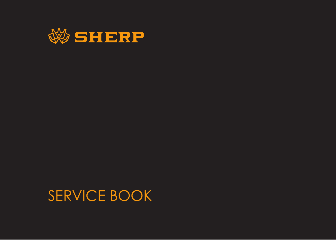

SERVICE BOOK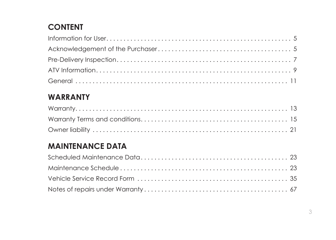# **CONTENT**

## **WARRANTY**

## **MAINTENANCE DATA**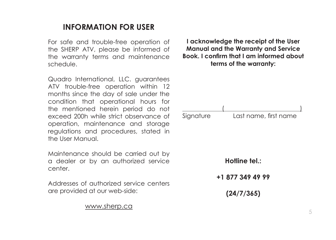### **INFORMATION FOR USER**

For safe and trouble-free operation of the SHERP ATV, please be informed of the warranty terms and maintenance schedule.

Quadro International, LLC. guarantees ATV trouble-free operation within 12 months since the day of sale under the condition that operational hours for the mentioned herein period do not exceed 200h while strict observance of operation, maintenance and storage regulations and procedures, stated in the User Manual.

Maintenance should be carried out by a dealer or by an authorized service center.

Addresses of authorized service centers are provided at our web-side:

www.sherp.ca

**I acknowledge the receipt of the User Manual and the Warranty and Service Book. I confirm that I am informed about terms of the warranty:**

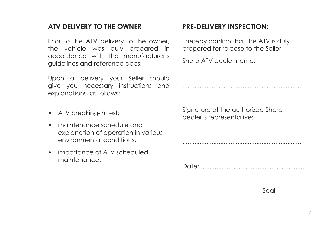#### **ATV DELIVERY TO THE OWNER**

Prior to the ATV delivery to the owner, the vehicle was duly prepared in accordance with the manufacturer's guidelines and reference docs.

Upon a delivery your Seller should give you necessary instructions and explanations, as follows:

- ATV breaking-in test;
- maintenance schedule and explanation of operation in various environmental conditions;
- importance of ATV scheduled maintenance.

#### **PRE-DELIVERY INSPECTION:**

I hereby confirm that the ATV is duly prepared for release to the Seller.

Sherp ATV dealer name:

......................................................................

......................................................................

Signature of the authorized Sherp dealer's representative:

Date: ............................................................

Seal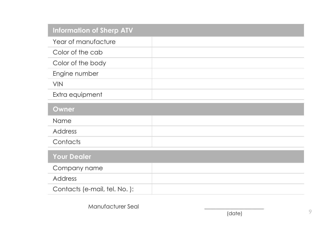| <b>Information of Sherp ATV</b> |  |
|---------------------------------|--|
| Year of manufacture             |  |
| Color of the cab                |  |
| Color of the body               |  |
| Engine number                   |  |
| <b>VIN</b>                      |  |
| Extra equipment                 |  |
| Owner                           |  |
| Name                            |  |
| Address                         |  |
| Contacts                        |  |
| <b>Your Dealer</b>              |  |
| Company name                    |  |
| Address                         |  |
| Contacts (e-mail, tel. No.):    |  |

Manufacturer Seal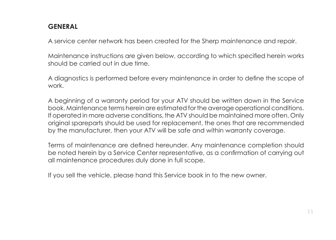#### **GENERAL**

A service center network has been created for the Sherp maintenance and repair.

Maintenance instructions are given below, according to which specified herein works should be carried out in due time.

A diagnostics is performed before every maintenance in order to define the scope of work.

A beginning of a warranty period for your ATV should be written down in the Service book. Maintenance terms herein are estimated for the average operational conditions. If operated in more adverse conditions, the ATV should be maintained more often. Only original spareparts should be used for replacement, the ones that are recommended by the manufacturer, then your ATV will be safe and within warranty coverage.

Terms of maintenance are defined hereunder. Any maintenance completion should be noted herein by a Service Center representative, as a confirmation of carrying out all maintenance procedures duly done in full scope.

If you sell the vehicle, please hand this Service book in to the new owner.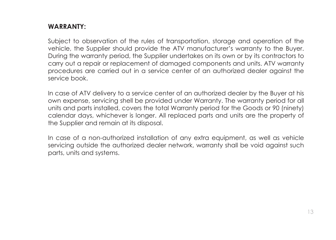#### **WARRANTY:**

Subject to observation of the rules of transportation, storage and operation of the vehicle, the Supplier should provide the ATV manufacturer's warranty to the Buyer. During the warranty period, the Supplier undertakes on its own or by its contractors to carry out a repair or replacement of damaged components and units. ATV warranty procedures are carried out in a service center of an authorized dealer against the service book.

In case of ATV delivery to a service center of an authorized dealer by the Buyer at his own expense, servicing shell be provided under Warranty. The warranty period for all units and parts installed, covers the total Warranty period for the Goods or 90 (ninety) calendar days, whichever is longer. All replaced parts and units are the property of the Supplier and remain at its disposal.

In case of a non-authorized installation of any extra equipment, as well as vehicle servicing outside the authorized dealer network, warranty shall be void against such parts, units and systems.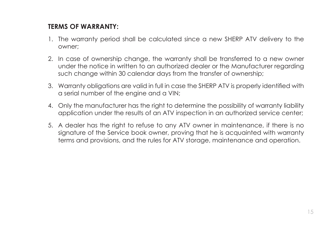#### **TERMS OF WARRANTY:**

- 1. The warranty period shall be calculated since a new SHERP ATV delivery to the owner;
- 2. In case of ownership change, the warranty shall be transferred to a new owner under the notice in written to an authorized dealer or the Manufacturer regarding such change within 30 calendar days from the transfer of ownership;
- 3. Warranty obligations are valid in full in case the SHERP ATV is properly identified with a serial number of the engine and a VIN;
- 4. Only the manufacturer has the right to determine the possibility of warranty liability application under the results of an ATV inspection in an authorized service center;
- 5. A dealer has the right to refuse to any ATV owner in maintenance, if there is no signature of the Service book owner, proving that he is acquainted with warranty terms and provisions, and the rules for ATV storage, maintenance and operation.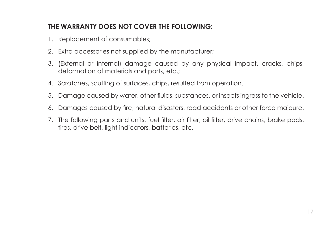#### **THE WARRANTY DOES NOT COVER THE FOLLOWING:**

- 1. Replacement of consumables;
- 2. Extra accessories not supplied by the manufacturer;
- 3. (External or internal) damage caused by any physical impact, cracks, chips, deformation of materials and parts, etc.;
- 4. Scratches, scuffing of surfaces, chips, resulted from operation.
- 5. Damage caused by water, other fluids, substances, or insects ingress to the vehicle.
- 6. Damages caused by fire, natural disasters, road accidents or other force majeure.
- 7. The following parts and units: fuel filter, air filter, oil filter, drive chains, brake pads, tires, drive belt, light indicators, batteries, etc.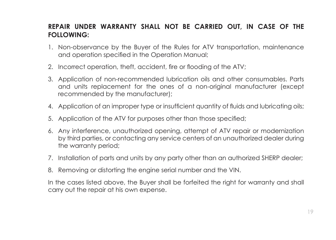#### **REPAIR UNDER WARRANTY SHALL NOT BE CARRIED OUT, IN CASE OF THE FOLLOWING:**

- 1. Non-observance by the Buyer of the Rules for ATV transportation, maintenance and operation specified in the Operation Manual;
- 2. Incorrect operation, theft, accident, fire or flooding of the ATV;
- 3. Application of non-recommended lubrication oils and other consumables. Parts and units replacement for the ones of a non-original manufacturer (except recommended by the manufacturer);
- 4. Application of an improper type or insufficient quantity of fluids and lubricating oils;
- 5. Application of the ATV for purposes other than those specified;
- 6. Any interference, unauthorized opening, attempt of ATV repair or modernization by third parties, or contacting any service centers of an unauthorized dealer during the warranty period;
- 7. Installation of parts and units by any party other than an authorized SHERP dealer;
- 8. Removing or distorting the engine serial number and the VIN.

In the cases listed above, the Buyer shall be forfeited the right for warranty and shall carry out the repair at his own expense.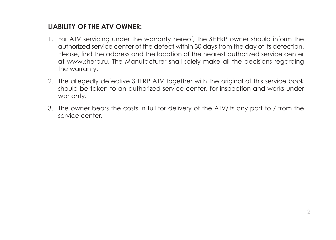#### **LIABILITY OF THE ATV OWNER:**

- 1. For ATV servicing under the warranty hereof, the SHERP owner should inform the authorized service center of the defect within 30 days from the day of its detection. Please, find the address and the location of the nearest authorized service center at www.sherp.ru. The Manufacturer shall solely make all the decisions regarding the warranty.
- 2. The allegedly defective SHERP ATV together with the original of this service book should be taken to an authorized service center, for inspection and works under warranty.
- 3. The owner bears the costs in full for delivery of the ATV/its any part to / from the service center.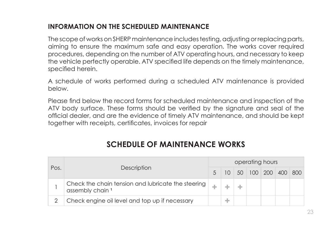#### **INFORMATION ON THE SCHEDULED MAINTENANCE**

The scope of works on SHERP maintenance includes testing, adjusting or replacing parts, aiming to ensure the maximum safe and easy operation. The works cover required procedures, depending on the number of ATV operating hours, and necessary to keep the vehicle perfectly operable. ATV specified life depends on the timely maintenance, specified herein.

A schedule of works performed during a scheduled ATV maintenance is provided below.

Please find below the record forms for scheduled maintenance and inspection of the ATV body surface. These forms should be verified by the signature and seal of the official dealer, and are the evidence of timely ATV maintenance, and should be kept together with receipts, certificates, invoices for repair

### **SCHEDULE OF MAINTENANCE WORKS**

|      | operating hours                                                                   |    |   |  |  |  |                       |  |  |  |
|------|-----------------------------------------------------------------------------------|----|---|--|--|--|-----------------------|--|--|--|
| Pos. | Description                                                                       | .5 |   |  |  |  | 10 50 100 200 400 800 |  |  |  |
|      | Check the chain tension and lubricate the steering<br>assembly chain <sup>1</sup> |    |   |  |  |  |                       |  |  |  |
|      | Check engine oil level and top up if necessary                                    |    | ÷ |  |  |  |                       |  |  |  |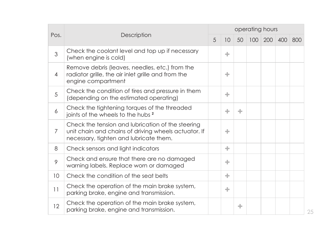|                 |                                                                                                                                                     | operating hours |    |    |  |                     |     |     |
|-----------------|-----------------------------------------------------------------------------------------------------------------------------------------------------|-----------------|----|----|--|---------------------|-----|-----|
| Pos.            | Description                                                                                                                                         |                 | 10 | 50 |  | $100 \mid 200 \mid$ | 400 | 800 |
| 3               | Check the coolant level and top up if necessary<br>(when engine is cold)                                                                            |                 | ÷  |    |  |                     |     |     |
| 4               | Remove debris (leaves, needles, etc.) from the<br>radiator grille, the air inlet grille and from the<br>engine compartment                          |                 | ÷  |    |  |                     |     |     |
| 5               | Check the condition of tires and pressure in them<br>(depending on the estimated operating)                                                         |                 | ÷  |    |  |                     |     |     |
| 6               | Check the tightening torques of the threaded<br>joints of the wheels to the hubs <sup>2</sup>                                                       |                 | ÷  | ÷  |  |                     |     |     |
| 7               | Check the tension and lubrication of the steering<br>unit chain and chains of driving wheels actuator. If<br>necessary, tighten and lubricate them. |                 | ÷  |    |  |                     |     |     |
| 8               | Check sensors and light indicators                                                                                                                  |                 | ÷  |    |  |                     |     |     |
| 9               | Check and ensure that there are no damaged<br>warning labels. Replace worn or damaged                                                               |                 | ÷  |    |  |                     |     |     |
| 10 <sup>°</sup> | Check the condition of the seat belts                                                                                                               |                 | ÷  |    |  |                     |     |     |
| 11              | Check the operation of the main brake system,<br>parking brake, engine and transmission.                                                            |                 | ÷  |    |  |                     |     |     |
| 12              | Check the operation of the main brake system,<br>parking brake, engine and transmission.                                                            |                 |    | ÷  |  |                     |     |     |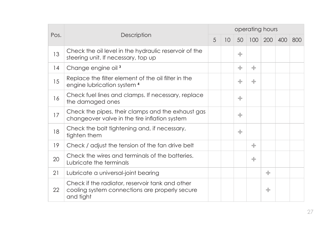|      |                                                                                                                | operating hours |                 |    |   |   |             |     |
|------|----------------------------------------------------------------------------------------------------------------|-----------------|-----------------|----|---|---|-------------|-----|
| Pos. | Description                                                                                                    | $\overline{5}$  | 10 <sup>°</sup> | 50 |   |   | 100 200 400 | 800 |
| 13   | Check the oil level in the hydraulic reservoir of the<br>steering unit. If necessary, top up                   |                 |                 | ÷  |   |   |             |     |
| 14   | Change engine oil <sup>3</sup>                                                                                 |                 |                 | ÷  | ÷ |   |             |     |
| 15   | Replace the filter element of the oil filter in the<br>engine lubrication system <sup>4</sup>                  |                 |                 | ÷  | ÷ |   |             |     |
| 16   | Check fuel lines and clamps. If necessary, replace<br>the damaged ones                                         |                 |                 | ÷  |   |   |             |     |
| 17   | Check the pipes, their clamps and the exhaust gas<br>changeover valve in the tire inflation system             |                 |                 | ÷  |   |   |             |     |
| 18   | Check the bolt tightening and, if necessary,<br>tighten them                                                   |                 |                 | ÷  |   |   |             |     |
| 19   | Check / adjust the tension of the fan drive belt                                                               |                 |                 |    | ÷ |   |             |     |
| 20   | Check the wires and terminals of the batteries.<br>Lubricate the terminals                                     |                 |                 |    | ÷ |   |             |     |
| 21   | Lubricate a universal-joint bearing                                                                            |                 |                 |    |   | ÷ |             |     |
| 22   | Check if the radiator, reservoir tank and other<br>cooling system connections are properly secure<br>and tight |                 |                 |    |   | ÷ |             |     |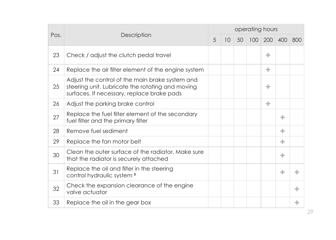|    | Pos.<br>Description                                                                                                                               |  | operating hours |    |  |             |   |     |  |  |  |  |
|----|---------------------------------------------------------------------------------------------------------------------------------------------------|--|-----------------|----|--|-------------|---|-----|--|--|--|--|
|    |                                                                                                                                                   |  | 10 <sup>°</sup> | 50 |  | 100 200 400 |   | 800 |  |  |  |  |
| 23 | Check / adjust the clutch pedal travel                                                                                                            |  |                 |    |  | ÷           |   |     |  |  |  |  |
| 24 | Replace the air filter element of the engine system                                                                                               |  |                 |    |  | ÷           |   |     |  |  |  |  |
| 25 | Adjust the control of the main brake system and<br>steering unit. Lubricate the rotating and moving<br>surfaces. If necessary, replace brake pads |  |                 |    |  | ÷           |   |     |  |  |  |  |
| 26 | Adjust the parking brake control                                                                                                                  |  |                 |    |  | ÷           |   |     |  |  |  |  |
| 27 | Replace the fuel filter element of the secondary<br>fuel filter and the primary filter                                                            |  |                 |    |  |             | ÷ |     |  |  |  |  |
| 28 | Remove fuel sediment                                                                                                                              |  |                 |    |  |             | ÷ |     |  |  |  |  |
| 29 | Replace the fan motor belt                                                                                                                        |  |                 |    |  |             | ÷ |     |  |  |  |  |
| 30 | Clean the outer surface of the radiator. Make sure<br>that the radiator is securely attached                                                      |  |                 |    |  |             | ÷ |     |  |  |  |  |
| 31 | Replace the oil and filter in the steering<br>control hydraulic system <sup>5</sup>                                                               |  |                 |    |  |             | ÷ | ÷   |  |  |  |  |
| 32 | Check the expansion clearance of the engine<br>valve actuator                                                                                     |  |                 |    |  |             |   | ÷   |  |  |  |  |
| 33 | Replace the oil in the gear box                                                                                                                   |  |                 |    |  |             |   | ÷   |  |  |  |  |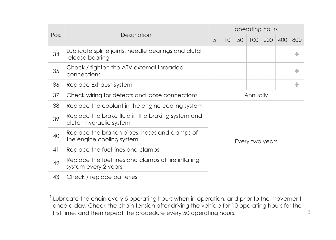|      |                                                                              |                 | operating hours |    |  |             |  |     |  |
|------|------------------------------------------------------------------------------|-----------------|-----------------|----|--|-------------|--|-----|--|
| Pos. | Description                                                                  | 5               | 10 <sup>°</sup> | 50 |  | 100 200 400 |  | 800 |  |
| 34   | Lubricate spline joints, needle bearings and clutch<br>release bearing       |                 |                 |    |  |             |  | ÷   |  |
| 35   | Check / tighten the ATV external threaded<br>connections                     |                 |                 |    |  | ÷.          |  |     |  |
| 36   | Replace Exhaust System                                                       |                 |                 |    |  | ÷           |  |     |  |
| 37   | Check wiring for defects and loose connections                               | Annually        |                 |    |  |             |  |     |  |
| 38   | Replace the coolant in the engine cooling system                             | Every two years |                 |    |  |             |  |     |  |
| 39   | Replace the brake fluid in the braking system and<br>clutch hydraulic system |                 |                 |    |  |             |  |     |  |
| 40   | Replace the branch pipes, hoses and clamps of<br>the engine cooling system   |                 |                 |    |  |             |  |     |  |
| 41   | Replace the fuel lines and clamps                                            |                 |                 |    |  |             |  |     |  |
| 42   | Replace the fuel lines and clamps of tire inflating<br>system every 2 years  |                 |                 |    |  |             |  |     |  |
| 43   | Check / replace batteries                                                    |                 |                 |    |  |             |  |     |  |

**<sup>1</sup>** Lubricate the chain every 5 operating hours when in operation, and prior to the movement once a day. Check the chain tension after driving the vehicle for 10 operating hours for the first time, and then repeat the procedure every 50 operating hours.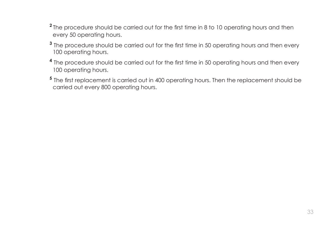- <sup>2</sup> The procedure should be carried out for the first time in 8 to 10 operating hours and then every 50 operating hours.
- **<sup>3</sup>** The procedure should be carried out for the first time in 50 operating hours and then every 100 operating hours.
- **<sup>4</sup>** The procedure should be carried out for the first time in 50 operating hours and then every 100 operating hours.
- **<sup>5</sup>** The first replacement is carried out in 400 operating hours. Then the replacement should be carried out every 800 operating hours.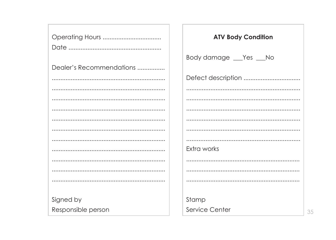|                          | <b>ATV Body Condition</b> |
|--------------------------|---------------------------|
|                          |                           |
|                          | Body damage __ Yes __ No  |
| Dealer's Recommendations |                           |
|                          |                           |
|                          |                           |
|                          |                           |
|                          |                           |
|                          |                           |
|                          |                           |
|                          |                           |
|                          | Extra works               |
|                          |                           |
|                          |                           |
|                          |                           |
|                          |                           |
| Signed by                | Stamp                     |
| Responsible person       | Service Center<br>35      |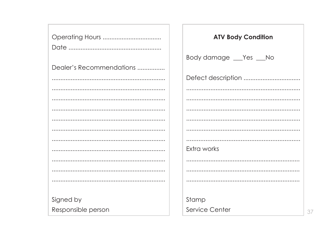|                          | <b>ATV Body Condition</b> |
|--------------------------|---------------------------|
|                          |                           |
| Dealer's Recommendations | Body damage __ Yes __ No  |
|                          |                           |
|                          |                           |
|                          |                           |
|                          |                           |
|                          |                           |
|                          |                           |
|                          | Extra works               |
|                          |                           |
|                          |                           |
|                          |                           |
| Signed by                | Stamp                     |
| Responsible person       | Service Center            |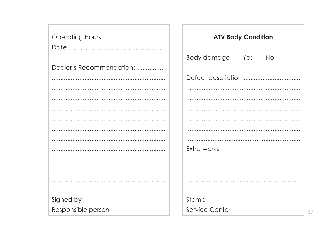|                          | <b>ATV Body Condition</b> |
|--------------------------|---------------------------|
|                          |                           |
| Dealer's Recommendations | Body damage __ Yes __ No  |
|                          |                           |
|                          |                           |
|                          |                           |
|                          |                           |
|                          |                           |
|                          |                           |
|                          |                           |
|                          | Extra works               |
|                          |                           |
|                          |                           |
|                          |                           |
| Signed by                | Stamp                     |
| Responsible person       | Service Center<br>39      |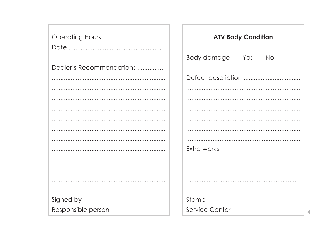|                          | <b>ATV Body Condition</b> |
|--------------------------|---------------------------|
|                          |                           |
|                          | Body damage __ Yes __ No  |
| Dealer's Recommendations |                           |
|                          |                           |
|                          |                           |
|                          |                           |
|                          |                           |
|                          |                           |
|                          |                           |
|                          |                           |
|                          | Extra works               |
|                          |                           |
|                          |                           |
|                          |                           |
|                          |                           |
| Signed by                | Stamp                     |
| Responsible person       | Service Center            |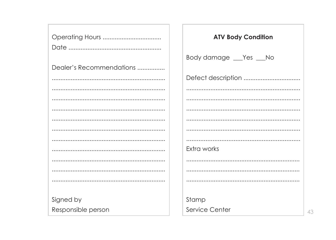|                          | <b>ATV Body Condition</b> |
|--------------------------|---------------------------|
|                          |                           |
|                          | Body damage __ Yes __ No  |
| Dealer's Recommendations |                           |
|                          |                           |
|                          |                           |
|                          |                           |
|                          |                           |
|                          |                           |
|                          |                           |
|                          |                           |
|                          | Extra works               |
|                          |                           |
|                          |                           |
|                          |                           |
|                          |                           |
| Signed by                | Stamp                     |
| Responsible person       | Service Center<br>43      |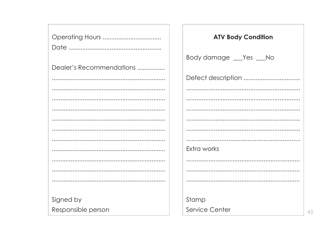|                          | <b>ATV Body Condition</b> |
|--------------------------|---------------------------|
|                          |                           |
|                          | Body damage __ Yes __ No  |
| Dealer's Recommendations |                           |
|                          |                           |
|                          |                           |
|                          |                           |
|                          |                           |
|                          |                           |
|                          |                           |
|                          |                           |
|                          | Extra works               |
|                          |                           |
|                          |                           |
|                          |                           |
|                          |                           |
| Signed by                | Stamp                     |
| Responsible person       | Service Center<br>45      |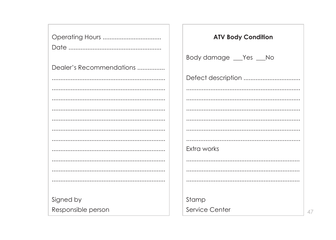|                          | <b>ATV Body Condition</b> |
|--------------------------|---------------------------|
|                          |                           |
|                          | Body damage __ Yes __ No  |
| Dealer's Recommendations |                           |
|                          |                           |
|                          |                           |
|                          |                           |
|                          |                           |
|                          |                           |
|                          |                           |
|                          |                           |
|                          | Extra works               |
|                          |                           |
|                          |                           |
|                          |                           |
|                          |                           |
| Signed by                | Stamp                     |
| Responsible person       | Service Center            |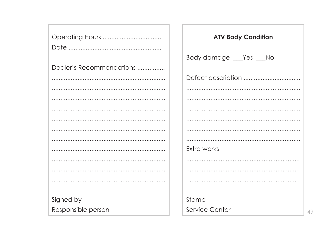|                          | <b>ATV Body Condition</b> |
|--------------------------|---------------------------|
|                          |                           |
|                          | Body damage __ Yes __ No  |
| Dealer's Recommendations |                           |
|                          |                           |
|                          |                           |
|                          |                           |
|                          |                           |
|                          |                           |
|                          |                           |
|                          |                           |
|                          | Extra works               |
|                          |                           |
|                          |                           |
|                          |                           |
|                          |                           |
| Signed by                | Stamp                     |
| Responsible person       | Service Center<br>49      |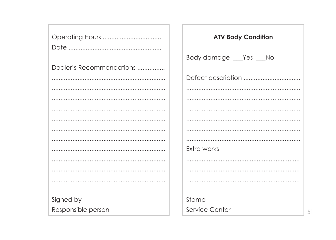|                          | <b>ATV Body Condition</b> |
|--------------------------|---------------------------|
|                          | Body damage __ Yes __ No  |
| Dealer's Recommendations |                           |
|                          |                           |
|                          |                           |
|                          |                           |
|                          |                           |
|                          |                           |
|                          |                           |
|                          | Extra works               |
|                          |                           |
|                          |                           |
|                          |                           |
| Signed by                | Stamp                     |
| Responsible person       | Service Center            |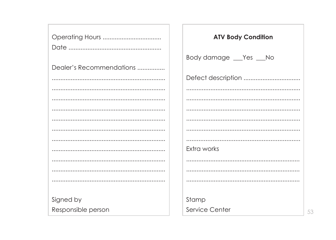|                          | <b>ATV Body Condition</b> |
|--------------------------|---------------------------|
|                          |                           |
|                          | Body damage __ Yes __ No  |
| Dealer's Recommendations |                           |
|                          |                           |
|                          |                           |
|                          |                           |
|                          |                           |
|                          |                           |
|                          |                           |
|                          |                           |
|                          | Extra works               |
|                          |                           |
|                          |                           |
|                          |                           |
|                          |                           |
| Signed by                | Stamp                     |
| Responsible person       | Service Center<br>53      |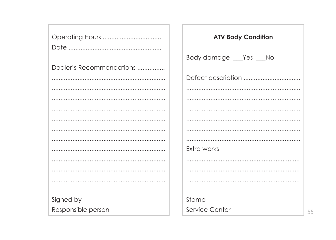|                          | <b>ATV Body Condition</b> |
|--------------------------|---------------------------|
|                          |                           |
|                          | Body damage __ Yes __ No  |
| Dealer's Recommendations |                           |
|                          |                           |
|                          |                           |
|                          |                           |
|                          |                           |
|                          |                           |
|                          |                           |
|                          |                           |
|                          | Extra works               |
|                          |                           |
|                          |                           |
|                          |                           |
|                          |                           |
| Signed by                | Stamp                     |
| Responsible person       | Service Center<br>55      |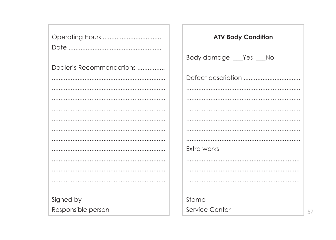|                          | <b>ATV Body Condition</b> |
|--------------------------|---------------------------|
|                          |                           |
|                          | Body damage __ Yes __ No  |
| Dealer's Recommendations |                           |
|                          |                           |
|                          |                           |
|                          |                           |
|                          |                           |
|                          |                           |
|                          |                           |
|                          |                           |
|                          | Extra works               |
|                          |                           |
|                          |                           |
|                          |                           |
| Signed by                | Stamp                     |
| Responsible person       | Service Center            |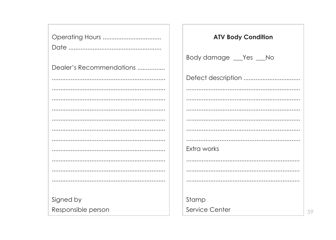|                          | <b>ATV Body Condition</b> |
|--------------------------|---------------------------|
|                          |                           |
|                          | Body damage __ Yes __ No  |
| Dealer's Recommendations |                           |
|                          |                           |
|                          |                           |
|                          |                           |
|                          |                           |
|                          |                           |
|                          |                           |
|                          |                           |
|                          | Extra works               |
|                          |                           |
|                          |                           |
|                          |                           |
|                          |                           |
| Signed by                | Stamp                     |
| Responsible person       | Service Center<br>59      |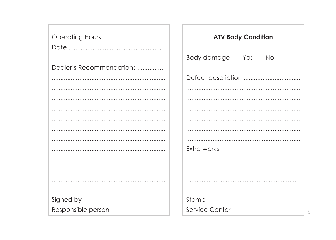|                          | <b>ATV Body Condition</b> |
|--------------------------|---------------------------|
|                          |                           |
| Dealer's Recommendations | Body damage __ Yes __ No  |
|                          |                           |
|                          |                           |
|                          |                           |
|                          |                           |
|                          |                           |
|                          |                           |
|                          |                           |
|                          | Extra works               |
|                          |                           |
|                          |                           |
|                          |                           |
| Signed by                | Stamp                     |
| Responsible person       | Service Center<br>61      |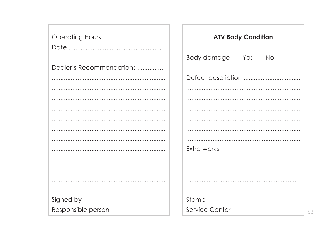|                          | <b>ATV Body Condition</b> |
|--------------------------|---------------------------|
|                          |                           |
|                          | Body damage __ Yes __ No  |
| Dealer's Recommendations |                           |
|                          |                           |
|                          |                           |
|                          |                           |
|                          |                           |
|                          |                           |
|                          |                           |
|                          |                           |
|                          | Extra works               |
|                          |                           |
|                          |                           |
|                          |                           |
|                          |                           |
| Signed by                | Stamp                     |
| Responsible person       | Service Center<br>63      |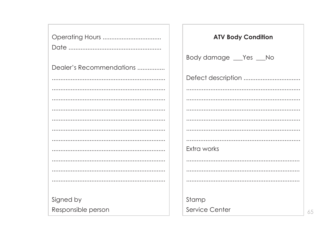|                          | <b>ATV Body Condition</b> |
|--------------------------|---------------------------|
|                          |                           |
|                          | Body damage __ Yes __ No  |
| Dealer's Recommendations |                           |
|                          |                           |
|                          |                           |
|                          |                           |
|                          |                           |
|                          |                           |
|                          |                           |
|                          |                           |
|                          | Extra works               |
|                          |                           |
|                          |                           |
|                          |                           |
|                          |                           |
| Signed by                | Stamp                     |
| Responsible person       | Service Center<br>65      |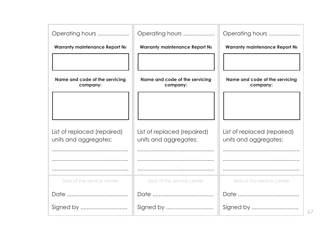| Operating hours                                      | Operating hours                                      | Operating hours                                      |
|------------------------------------------------------|------------------------------------------------------|------------------------------------------------------|
| Warranty maintenance Report No                       | Warranty maintenance Report No                       | Warranty maintenance Report No                       |
|                                                      |                                                      |                                                      |
| Name and code of the servicing<br>company:           | Name and code of the servicing<br>company:           | Name and code of the servicing<br>company:           |
|                                                      |                                                      |                                                      |
|                                                      |                                                      |                                                      |
| List of replaced (repaired)<br>units and aggregates: | List of replaced (repaired)<br>units and aggregates: | List of replaced (repaired)<br>units and aggregates: |
|                                                      |                                                      |                                                      |
|                                                      |                                                      |                                                      |
|                                                      |                                                      |                                                      |
| Seal of the service center                           | Seal of the service center                           | Seal of the service center                           |
|                                                      |                                                      |                                                      |
| Signed by                                            | Signed by                                            |                                                      |

67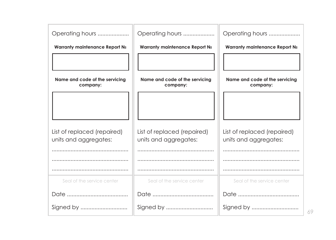| Operating hours                                      | Operating hours                                      | Operating hours                                      |
|------------------------------------------------------|------------------------------------------------------|------------------------------------------------------|
| Warranty maintenance Report No                       | Warranty maintenance Report No                       | Warranty maintenance Report No                       |
|                                                      |                                                      |                                                      |
|                                                      |                                                      |                                                      |
| Name and code of the servicing<br>company:           | Name and code of the servicing<br>company:           | Name and code of the servicing<br>company:           |
|                                                      |                                                      |                                                      |
|                                                      |                                                      |                                                      |
|                                                      |                                                      |                                                      |
| List of replaced (repaired)<br>units and aggregates: | List of replaced (repaired)<br>units and aggregates: | List of replaced (repaired)<br>units and aggregates: |
|                                                      |                                                      |                                                      |
|                                                      |                                                      |                                                      |
|                                                      |                                                      |                                                      |
| Seal of the service center                           | Seal of the service center                           | Seal of the service center                           |
|                                                      |                                                      |                                                      |
| Signed by                                            | Signed by                                            | Signed by                                            |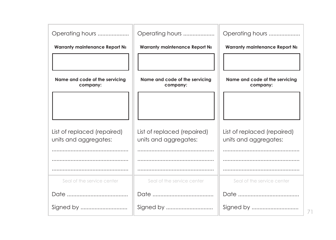| Operating hours                                      | Operating hours                                      | Operating hours                                      |
|------------------------------------------------------|------------------------------------------------------|------------------------------------------------------|
| Warranty maintenance Report No                       | Warranty maintenance Report No                       | Warranty maintenance Report No                       |
|                                                      |                                                      |                                                      |
| Name and code of the servicing<br>company:           | Name and code of the servicing<br>company:           | Name and code of the servicing<br>company:           |
|                                                      |                                                      |                                                      |
|                                                      |                                                      |                                                      |
| List of replaced (repaired)<br>units and aggregates: | List of replaced (repaired)<br>units and aggregates: | List of replaced (repaired)<br>units and aggregates: |
|                                                      |                                                      |                                                      |
|                                                      |                                                      |                                                      |
|                                                      |                                                      |                                                      |
| Seal of the service center                           | Seal of the service center                           | Seal of the service center                           |
|                                                      |                                                      |                                                      |
| Signed by                                            | Signed by                                            |                                                      |

71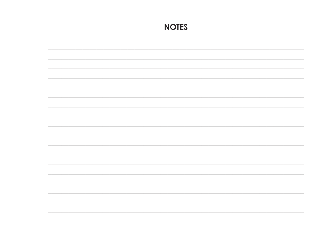| <b>NOTES</b> |
|--------------|
|              |
|              |
|              |
|              |
|              |
|              |
|              |
|              |
|              |
|              |
|              |
|              |
|              |
|              |
|              |